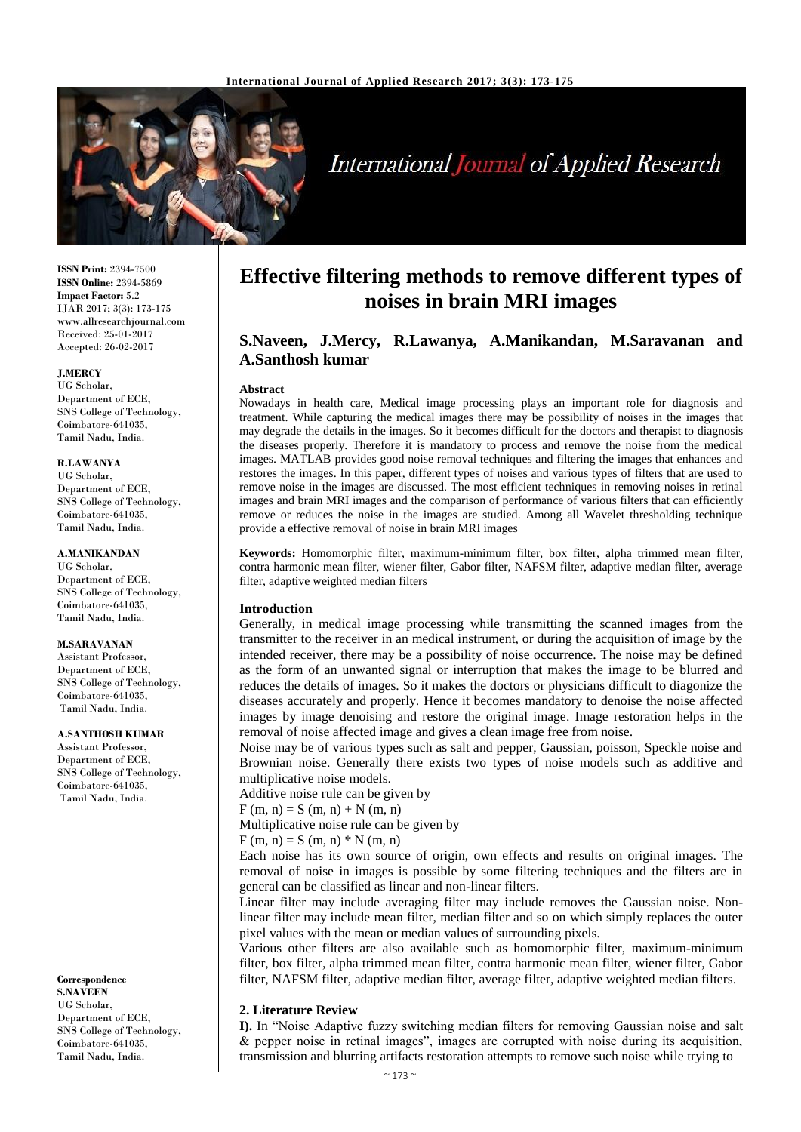

# **International Journal of Applied Research**

**ISSN Print:** 2394-7500 **ISSN Online:** 2394-5869 **Impact Factor:** 5.2 IJAR 2017; 3(3): 173-175 www.allresearchjournal.com Received: 25-01-2017 Accepted: 26-02-2017

### **J.MERCY**

UG Scholar, Department of ECE, SNS College of Technology, Coimbatore-641035, Tamil Nadu, India.

### **R.LAWANYA**

UG Scholar, Department of ECE, SNS College of Technology, Coimbatore-641035, Tamil Nadu, India.

### **A.MANIKANDAN**

UG Scholar, Department of ECE, SNS College of Technology, Coimbatore-641035, Tamil Nadu, India.

### **M.SARAVANAN**

Assistant Professor, Department of ECE, SNS College of Technology, Coimbatore-641035, Tamil Nadu, India.

### **A.SANTHOSH KUMAR**

Assistant Professor, Department of ECE, SNS College of Technology, Coimbatore-641035, Tamil Nadu, India.

### **Correspondence**

**S.NAVEEN** UG Scholar, Department of ECE, SNS College of Technology, Coimbatore-641035, Tamil Nadu, India.

## **Effective filtering methods to remove different types of noises in brain MRI images**

### **S.Naveen, J.Mercy, R.Lawanya, A.Manikandan, M.Saravanan and A.Santhosh kumar**

### **Abstract**

Nowadays in health care, Medical image processing plays an important role for diagnosis and treatment. While capturing the medical images there may be possibility of noises in the images that may degrade the details in the images. So it becomes difficult for the doctors and therapist to diagnosis the diseases properly. Therefore it is mandatory to process and remove the noise from the medical images. MATLAB provides good noise removal techniques and filtering the images that enhances and restores the images. In this paper, different types of noises and various types of filters that are used to remove noise in the images are discussed. The most efficient techniques in removing noises in retinal images and brain MRI images and the comparison of performance of various filters that can efficiently remove or reduces the noise in the images are studied. Among all Wavelet thresholding technique provide a effective removal of noise in brain MRI images

**Keywords:** Homomorphic filter, maximum-minimum filter, box filter, alpha trimmed mean filter, contra harmonic mean filter, wiener filter, Gabor filter, NAFSM filter, adaptive median filter, average filter, adaptive weighted median filters

### **Introduction**

Generally, in medical image processing while transmitting the scanned images from the transmitter to the receiver in an medical instrument, or during the acquisition of image by the intended receiver, there may be a possibility of noise occurrence. The noise may be defined as the form of an unwanted signal or interruption that makes the image to be blurred and reduces the details of images. So it makes the doctors or physicians difficult to diagonize the diseases accurately and properly. Hence it becomes mandatory to denoise the noise affected images by image denoising and restore the original image. Image restoration helps in the removal of noise affected image and gives a clean image free from noise.

Noise may be of various types such as salt and pepper, Gaussian, poisson, Speckle noise and Brownian noise. Generally there exists two types of noise models such as additive and multiplicative noise models.

Additive noise rule can be given by

 $F(m, n) = S(m, n) + N(m, n)$ 

Multiplicative noise rule can be given by

 $F(m, n) = S(m, n) * N(m, n)$ 

Each noise has its own source of origin, own effects and results on original images. The removal of noise in images is possible by some filtering techniques and the filters are in general can be classified as linear and non-linear filters.

Linear filter may include averaging filter may include removes the Gaussian noise. Nonlinear filter may include mean filter, median filter and so on which simply replaces the outer pixel values with the mean or median values of surrounding pixels.

Various other filters are also available such as homomorphic filter, maximum-minimum filter, box filter, alpha trimmed mean filter, contra harmonic mean filter, wiener filter, Gabor filter, NAFSM filter, adaptive median filter, average filter, adaptive weighted median filters.

### **2. Literature Review**

**I).** In "Noise Adaptive fuzzy switching median filters for removing Gaussian noise and salt & pepper noise in retinal images", images are corrupted with noise during its acquisition, transmission and blurring artifacts restoration attempts to remove such noise while trying to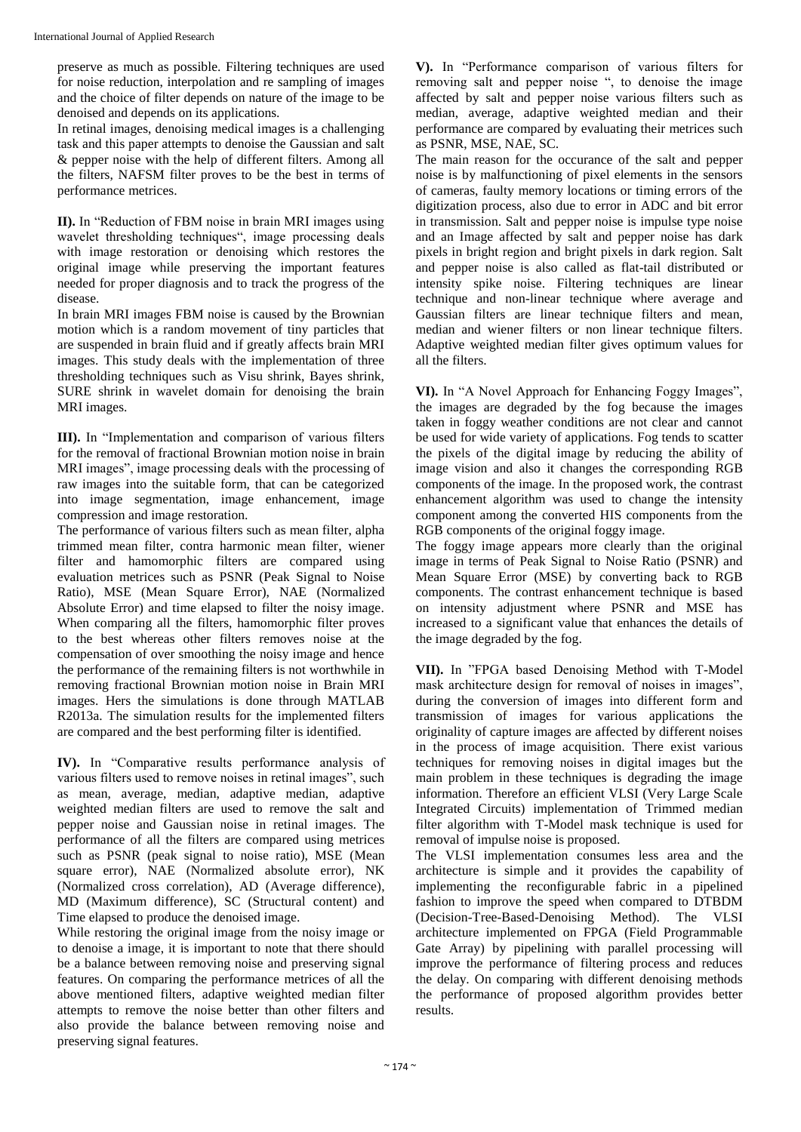preserve as much as possible. Filtering techniques are used for noise reduction, interpolation and re sampling of images and the choice of filter depends on nature of the image to be denoised and depends on its applications.

In retinal images, denoising medical images is a challenging task and this paper attempts to denoise the Gaussian and salt & pepper noise with the help of different filters. Among all the filters, NAFSM filter proves to be the best in terms of performance metrices.

**II).** In "Reduction of FBM noise in brain MRI images using wavelet thresholding techniques", image processing deals with image restoration or denoising which restores the original image while preserving the important features needed for proper diagnosis and to track the progress of the disease.

In brain MRI images FBM noise is caused by the Brownian motion which is a random movement of tiny particles that are suspended in brain fluid and if greatly affects brain MRI images. This study deals with the implementation of three thresholding techniques such as Visu shrink, Bayes shrink, SURE shrink in wavelet domain for denoising the brain MRI images.

**III).** In "Implementation and comparison of various filters for the removal of fractional Brownian motion noise in brain MRI images", image processing deals with the processing of raw images into the suitable form, that can be categorized into image segmentation, image enhancement, image compression and image restoration.

The performance of various filters such as mean filter, alpha trimmed mean filter, contra harmonic mean filter, wiener filter and hamomorphic filters are compared using evaluation metrices such as PSNR (Peak Signal to Noise Ratio), MSE (Mean Square Error), NAE (Normalized Absolute Error) and time elapsed to filter the noisy image. When comparing all the filters, hamomorphic filter proves to the best whereas other filters removes noise at the compensation of over smoothing the noisy image and hence the performance of the remaining filters is not worthwhile in removing fractional Brownian motion noise in Brain MRI images. Hers the simulations is done through MATLAB R2013a. The simulation results for the implemented filters are compared and the best performing filter is identified.

**IV).** In "Comparative results performance analysis of various filters used to remove noises in retinal images", such as mean, average, median, adaptive median, adaptive weighted median filters are used to remove the salt and pepper noise and Gaussian noise in retinal images. The performance of all the filters are compared using metrices such as PSNR (peak signal to noise ratio), MSE (Mean square error), NAE (Normalized absolute error), NK (Normalized cross correlation), AD (Average difference), MD (Maximum difference), SC (Structural content) and Time elapsed to produce the denoised image.

While restoring the original image from the noisy image or to denoise a image, it is important to note that there should be a balance between removing noise and preserving signal features. On comparing the performance metrices of all the above mentioned filters, adaptive weighted median filter attempts to remove the noise better than other filters and also provide the balance between removing noise and preserving signal features.

**V).** In "Performance comparison of various filters for removing salt and pepper noise ", to denoise the image affected by salt and pepper noise various filters such as median, average, adaptive weighted median and their performance are compared by evaluating their metrices such as PSNR, MSE, NAE, SC.

The main reason for the occurance of the salt and pepper noise is by malfunctioning of pixel elements in the sensors of cameras, faulty memory locations or timing errors of the digitization process, also due to error in ADC and bit error in transmission. Salt and pepper noise is impulse type noise and an Image affected by salt and pepper noise has dark pixels in bright region and bright pixels in dark region. Salt and pepper noise is also called as flat-tail distributed or intensity spike noise. Filtering techniques are linear technique and non-linear technique where average and Gaussian filters are linear technique filters and mean, median and wiener filters or non linear technique filters. Adaptive weighted median filter gives optimum values for all the filters.

**VI).** In "A Novel Approach for Enhancing Foggy Images", the images are degraded by the fog because the images taken in foggy weather conditions are not clear and cannot be used for wide variety of applications. Fog tends to scatter the pixels of the digital image by reducing the ability of image vision and also it changes the corresponding RGB components of the image. In the proposed work, the contrast enhancement algorithm was used to change the intensity component among the converted HIS components from the RGB components of the original foggy image.

The foggy image appears more clearly than the original image in terms of Peak Signal to Noise Ratio (PSNR) and Mean Square Error (MSE) by converting back to RGB components. The contrast enhancement technique is based on intensity adjustment where PSNR and MSE has increased to a significant value that enhances the details of the image degraded by the fog.

**VII).** In "FPGA based Denoising Method with T-Model mask architecture design for removal of noises in images", during the conversion of images into different form and transmission of images for various applications the originality of capture images are affected by different noises in the process of image acquisition. There exist various techniques for removing noises in digital images but the main problem in these techniques is degrading the image information. Therefore an efficient VLSI (Very Large Scale Integrated Circuits) implementation of Trimmed median filter algorithm with T-Model mask technique is used for removal of impulse noise is proposed.

The VLSI implementation consumes less area and the architecture is simple and it provides the capability of implementing the reconfigurable fabric in a pipelined fashion to improve the speed when compared to DTBDM (Decision-Tree-Based-Denoising Method). The VLSI architecture implemented on FPGA (Field Programmable Gate Array) by pipelining with parallel processing will improve the performance of filtering process and reduces the delay. On comparing with different denoising methods the performance of proposed algorithm provides better results.